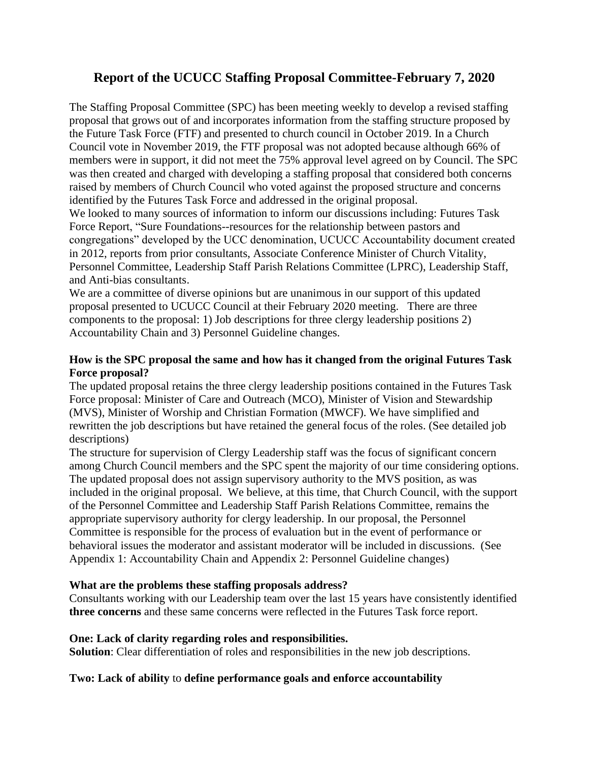# **Report of the UCUCC Staffing Proposal Committee-February 7, 2020**

The Staffing Proposal Committee (SPC) has been meeting weekly to develop a revised staffing proposal that grows out of and incorporates information from the staffing structure proposed by the Future Task Force (FTF) and presented to church council in October 2019. In a Church Council vote in November 2019, the FTF proposal was not adopted because although 66% of members were in support, it did not meet the 75% approval level agreed on by Council. The SPC was then created and charged with developing a staffing proposal that considered both concerns raised by members of Church Council who voted against the proposed structure and concerns identified by the Futures Task Force and addressed in the original proposal.

We looked to many sources of information to inform our discussions including: Futures Task Force Report, "Sure Foundations--resources for the relationship between pastors and congregations" developed by the UCC denomination, UCUCC Accountability document created in 2012, reports from prior consultants, Associate Conference Minister of Church Vitality, Personnel Committee, Leadership Staff Parish Relations Committee (LPRC), Leadership Staff, and Anti-bias consultants.

We are a committee of diverse opinions but are unanimous in our support of this updated proposal presented to UCUCC Council at their February 2020 meeting. There are three components to the proposal: 1) Job descriptions for three clergy leadership positions 2) Accountability Chain and 3) Personnel Guideline changes.

### **How is the SPC proposal the same and how has it changed from the original Futures Task Force proposal?**

The updated proposal retains the three clergy leadership positions contained in the Futures Task Force proposal: Minister of Care and Outreach (MCO), Minister of Vision and Stewardship (MVS), Minister of Worship and Christian Formation (MWCF). We have simplified and rewritten the job descriptions but have retained the general focus of the roles. (See detailed job descriptions)

The structure for supervision of Clergy Leadership staff was the focus of significant concern among Church Council members and the SPC spent the majority of our time considering options. The updated proposal does not assign supervisory authority to the MVS position, as was included in the original proposal. We believe, at this time, that Church Council, with the support of the Personnel Committee and Leadership Staff Parish Relations Committee, remains the appropriate supervisory authority for clergy leadership. In our proposal, the Personnel Committee is responsible for the process of evaluation but in the event of performance or behavioral issues the moderator and assistant moderator will be included in discussions. (See Appendix 1: Accountability Chain and Appendix 2: Personnel Guideline changes)

#### **What are the problems these staffing proposals address?**

Consultants working with our Leadership team over the last 15 years have consistently identified **three concerns** and these same concerns were reflected in the Futures Task force report.

## **One: Lack of clarity regarding roles and responsibilities.**

**Solution**: Clear differentiation of roles and responsibilities in the new job descriptions.

## **Two: Lack of ability** to **define performance goals and enforce accountability**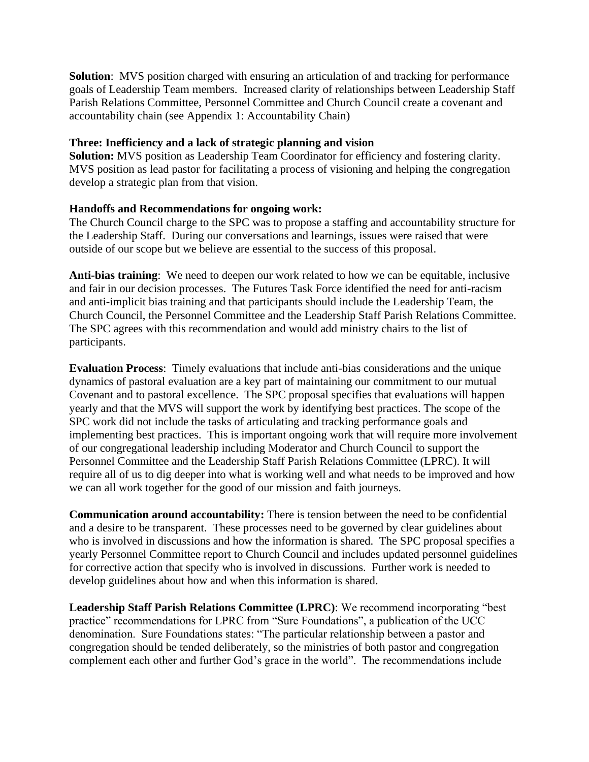**Solution**: MVS position charged with ensuring an articulation of and tracking for performance goals of Leadership Team members. Increased clarity of relationships between Leadership Staff Parish Relations Committee, Personnel Committee and Church Council create a covenant and accountability chain (see Appendix 1: Accountability Chain)

#### **Three: Inefficiency and a lack of strategic planning and vision**

**Solution:** MVS position as Leadership Team Coordinator for efficiency and fostering clarity. MVS position as lead pastor for facilitating a process of visioning and helping the congregation develop a strategic plan from that vision.

#### **Handoffs and Recommendations for ongoing work:**

The Church Council charge to the SPC was to propose a staffing and accountability structure for the Leadership Staff. During our conversations and learnings, issues were raised that were outside of our scope but we believe are essential to the success of this proposal.

**Anti-bias training**: We need to deepen our work related to how we can be equitable, inclusive and fair in our decision processes. The Futures Task Force identified the need for anti-racism and anti-implicit bias training and that participants should include the Leadership Team, the Church Council, the Personnel Committee and the Leadership Staff Parish Relations Committee. The SPC agrees with this recommendation and would add ministry chairs to the list of participants.

**Evaluation Process**: Timely evaluations that include anti-bias considerations and the unique dynamics of pastoral evaluation are a key part of maintaining our commitment to our mutual Covenant and to pastoral excellence. The SPC proposal specifies that evaluations will happen yearly and that the MVS will support the work by identifying best practices. The scope of the SPC work did not include the tasks of articulating and tracking performance goals and implementing best practices. This is important ongoing work that will require more involvement of our congregational leadership including Moderator and Church Council to support the Personnel Committee and the Leadership Staff Parish Relations Committee (LPRC). It will require all of us to dig deeper into what is working well and what needs to be improved and how we can all work together for the good of our mission and faith journeys.

**Communication around accountability:** There is tension between the need to be confidential and a desire to be transparent. These processes need to be governed by clear guidelines about who is involved in discussions and how the information is shared. The SPC proposal specifies a yearly Personnel Committee report to Church Council and includes updated personnel guidelines for corrective action that specify who is involved in discussions. Further work is needed to develop guidelines about how and when this information is shared.

**Leadership Staff Parish Relations Committee (LPRC)**: We recommend incorporating "best practice" recommendations for LPRC from "Sure Foundations", a publication of the UCC denomination. Sure Foundations states: "The particular relationship between a pastor and congregation should be tended deliberately, so the ministries of both pastor and congregation complement each other and further God's grace in the world". The recommendations include